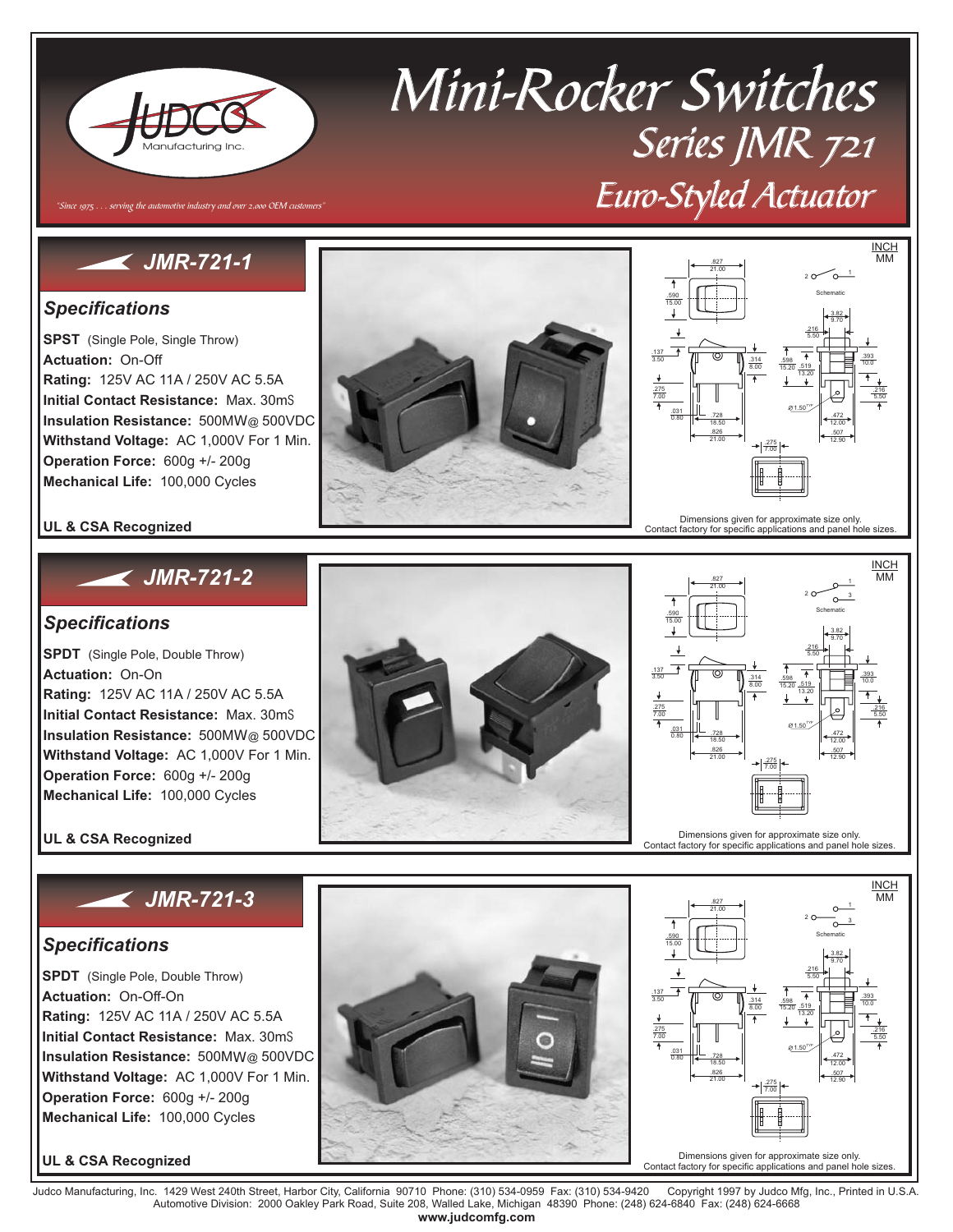

# Mini-Rocker Switches Series JMR 721 Euro-Styled Actuator

# *JMR-721-1* 21.00

"Since 1975 . . . serving the automotive industry and over 2,000 OEM customers"

### *Specifications*

**SPST** (Single Pole, Single Throw) **Actuation:** On-Off **Rating:** 125V AC 11A / 250V AC 5.5A **Initial Contact Resistance:** Max. 30m **Insulation Resistance:** 500ΜΩ @ 500VDC **Withstand Voltage:** AC 1,000V For 1 Min. **Operation Force:** 600g +/- 200g **Mechanical Life:** 100,000 Cycles





#### **UL & CSA Recognized**

## *JMR-721-2*

#### *Specifications*

**SPDT** (Single Pole, Double Throw) **Rating:** 125V AC 11A / 250V AC 5.5A **Initial Contact Resistance:** Max. 30m **Insulation Resistance:** 500ΜΩ @ 500VDC **Withstand Voltage:** AC 1,000V For 1 Min. **Operation Force:** 600g +/- 200g **Mechanical Life:** 100,000 Cycles **Actuation:** On-On

**UL & CSA Recognized**

## *JMR-721-3*

#### *Specifications*

**SPDT** (Single Pole, Double Throw) **Rating:** 125V AC 11A / 250V AC 5.5A **Initial Contact Resistance:** Max. 30m **Insulation Resistance:** 500ΜΩ @ 500VDC **Withstand Voltage:** AC 1,000V For 1 Min. **Operation Force:** 600g +/- 200g **Mechanical Life:** 100,000 Cycles **Actuation:** On-Off-On

**UL & CSA Recognized**





Judco Manufacturing, Inc. 1429 West 240th Street, Harbor City, California 90710 Phone: (310) 534-0959 Fax: (310) 534-9420 Copyright 1997 by Judco Mfg, Inc., Printed in U.S.A.<br>Automotive Division: 2000 Oakley Park R **www.judcomfg.com**